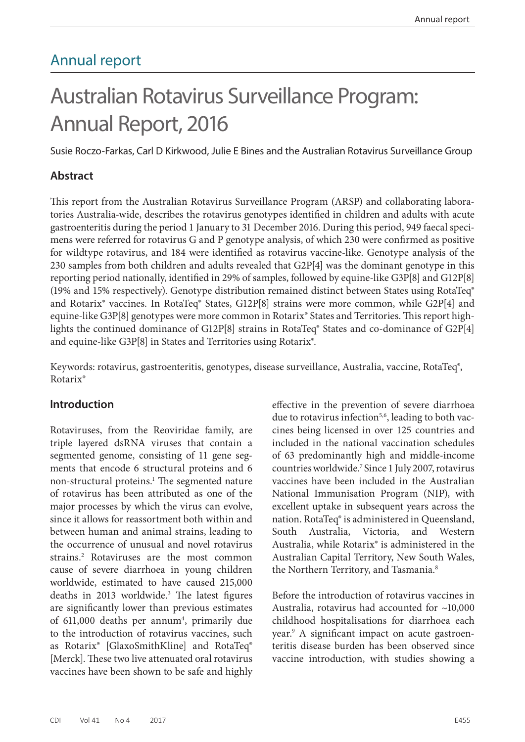## Annual report

# Australian Rotavirus Surveillance Program: Annual Report, 2016

Susie Roczo-Farkas, Carl D Kirkwood, Julie E Bines and the Australian Rotavirus Surveillance Group

#### **Abstract**

This report from the Australian Rotavirus Surveillance Program (ARSP) and collaborating laboratories Australia-wide, describes the rotavirus genotypes identified in children and adults with acute gastroenteritis during the period 1 January to 31 December 2016. During this period, 949 faecal specimens were referred for rotavirus G and P genotype analysis, of which 230 were confirmed as positive for wildtype rotavirus, and 184 were identified as rotavirus vaccine-like. Genotype analysis of the 230 samples from both children and adults revealed that G2P[4] was the dominant genotype in this reporting period nationally, identified in 29% of samples, followed by equine-like G3P[8] and G12P[8] (19% and 15% respectively). Genotype distribution remained distinct between States using RotaTeq® and Rotarix® vaccines. In RotaTeq® States, G12P[8] strains were more common, while G2P[4] and equine-like G3P[8] genotypes were more common in Rotarix® States and Territories. This report highlights the continued dominance of G12P[8] strains in RotaTeq® States and co-dominance of G2P[4] and equine-like G3P[8] in States and Territories using Rotarix®.

Keywords: rotavirus, gastroenteritis, genotypes, disease surveillance, Australia, vaccine, RotaTeq®, Rotarix®

#### **Introduction**

Rotaviruses, from the Reoviridae family, are triple layered dsRNA viruses that contain a segmented genome, consisting of 11 gene segments that encode 6 structural proteins and 6 non-structural proteins.<sup>1</sup> The segmented nature of rotavirus has been attributed as one of the major processes by which the virus can evolve, since it allows for reassortment both within and between human and animal strains, leading to the occurrence of unusual and novel rotavirus strains.2 Rotaviruses are the most common cause of severe diarrhoea in young children worldwide, estimated to have caused 215,000 deaths in 2013 worldwide.<sup>3</sup> The latest figures are significantly lower than previous estimates of 611,000 deaths per annum<sup>4</sup>, primarily due to the introduction of rotavirus vaccines, such as Rotarix® [GlaxoSmithKline] and RotaTeq® [Merck]. These two live attenuated oral rotavirus vaccines have been shown to be safe and highly

effective in the prevention of severe diarrhoea due to rotavirus infection<sup>5,6</sup>, leading to both vaccines being licensed in over 125 countries and included in the national vaccination schedules of 63 predominantly high and middle-income countries worldwide.7 Since 1 July 2007, rotavirus vaccines have been included in the Australian National Immunisation Program (NIP), with excellent uptake in subsequent years across the nation. RotaTeq® is administered in Queensland, South Australia, Victoria, and Western Australia, while Rotarix® is administered in the Australian Capital Territory, New South Wales, the Northern Territory, and Tasmania.<sup>8</sup>

Before the introduction of rotavirus vaccines in Australia, rotavirus had accounted for ~10,000 childhood hospitalisations for diarrhoea each year.9 A significant impact on acute gastroenteritis disease burden has been observed since vaccine introduction, with studies showing a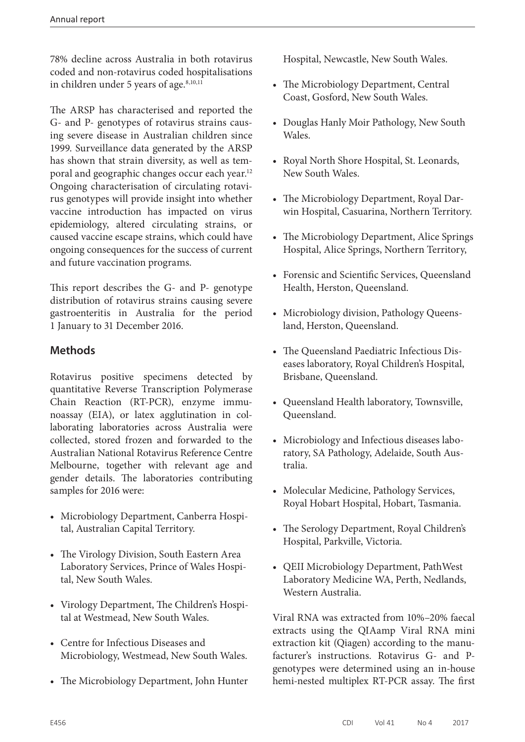78% decline across Australia in both rotavirus coded and non-rotavirus coded hospitalisations in children under 5 years of age.<sup>8,10,11</sup>

The ARSP has characterised and reported the G- and P- genotypes of rotavirus strains causing severe disease in Australian children since 1999. Surveillance data generated by the ARSP has shown that strain diversity, as well as temporal and geographic changes occur each year.12 Ongoing characterisation of circulating rotavirus genotypes will provide insight into whether vaccine introduction has impacted on virus epidemiology, altered circulating strains, or caused vaccine escape strains, which could have ongoing consequences for the success of current and future vaccination programs.

This report describes the G- and P- genotype distribution of rotavirus strains causing severe gastroenteritis in Australia for the period 1 January to 31 December 2016.

### **Methods**

Rotavirus positive specimens detected by quantitative Reverse Transcription Polymerase Chain Reaction (RT-PCR), enzyme immunoassay (EIA), or latex agglutination in collaborating laboratories across Australia were collected, stored frozen and forwarded to the Australian National Rotavirus Reference Centre Melbourne, together with relevant age and gender details. The laboratories contributing samples for 2016 were:

- Microbiology Department, Canberra Hospital, Australian Capital Territory.
- The Virology Division, South Eastern Area Laboratory Services, Prince of Wales Hospital, New South Wales.
- Virology Department, The Children's Hospital at Westmead, New South Wales.
- Centre for Infectious Diseases and Microbiology, Westmead, New South Wales.
- The Microbiology Department, John Hunter

Hospital, Newcastle, New South Wales.

- The Microbiology Department, Central Coast, Gosford, New South Wales.
- Douglas Hanly Moir Pathology, New South Wales.
- Royal North Shore Hospital, St. Leonards, New South Wales.
- The Microbiology Department, Royal Darwin Hospital, Casuarina, Northern Territory.
- The Microbiology Department, Alice Springs Hospital, Alice Springs, Northern Territory,
- Forensic and Scientific Services, Queensland Health, Herston, Queensland.
- Microbiology division, Pathology Queensland, Herston, Queensland.
- The Queensland Paediatric Infectious Diseases laboratory, Royal Children's Hospital, Brisbane, Queensland.
- Queensland Health laboratory, Townsville, Queensland.
- Microbiology and Infectious diseases laboratory, SA Pathology, Adelaide, South Australia.
- Molecular Medicine, Pathology Services, Royal Hobart Hospital, Hobart, Tasmania.
- The Serology Department, Royal Children's Hospital, Parkville, Victoria.
- QEII Microbiology Department, PathWest Laboratory Medicine WA, Perth, Nedlands, Western Australia.

Viral RNA was extracted from 10%–20% faecal extracts using the QIAamp Viral RNA mini extraction kit (Qiagen) according to the manufacturer's instructions. Rotavirus G- and Pgenotypes were determined using an in-house hemi-nested multiplex RT-PCR assay. The first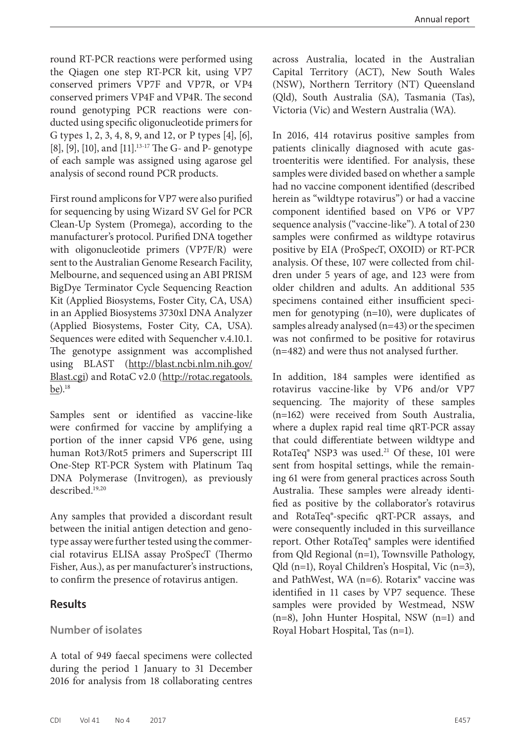round RT-PCR reactions were performed using the Qiagen one step RT-PCR kit, using VP7 conserved primers VP7F and VP7R, or VP4 conserved primers VP4F and VP4R. The second round genotyping PCR reactions were conducted using specific oligonucleotide primers for G types 1, 2, 3, 4, 8, 9, and 12, or P types [4], [6], [8], [9], [10], and [11].13-17 The G- and P- genotype of each sample was assigned using agarose gel analysis of second round PCR products.

First round amplicons for VP7 were also purified for sequencing by using Wizard SV Gel for PCR Clean-Up System (Promega), according to the manufacturer's protocol. Purified DNA together with oligonucleotide primers (VP7F/R) were sent to the Australian Genome Research Facility, Melbourne, and sequenced using an ABI PRISM BigDye Terminator Cycle Sequencing Reaction Kit (Applied Biosystems, Foster City, CA, USA) in an Applied Biosystems 3730xl DNA Analyzer (Applied Biosystems, Foster City, CA, USA). Sequences were edited with Sequencher v.4.10.1. The genotype assignment was accomplished using BLAST ([http://blast.ncbi.nlm.nih.gov/](http://blast.ncbi.nlm.nih.gov/Blast.cgi) [Blast.cgi](http://blast.ncbi.nlm.nih.gov/Blast.cgi)) and RotaC v2.0 ([http://rotac.regatools.](http://rotac.regatools.be) [be](http://rotac.regatools.be)). $18$ 

Samples sent or identified as vaccine-like were confirmed for vaccine by amplifying a portion of the inner capsid VP6 gene, using human Rot3/Rot5 primers and Superscript III One-Step RT-PCR System with Platinum Taq DNA Polymerase (Invitrogen), as previously described.19,20

Any samples that provided a discordant result between the initial antigen detection and genotype assay were further tested using the commercial rotavirus ELISA assay ProSpecT (Thermo Fisher, Aus.), as per manufacturer's instructions, to confirm the presence of rotavirus antigen.

#### **Results**

#### **Number of isolates**

A total of 949 faecal specimens were collected during the period 1 January to 31 December 2016 for analysis from 18 collaborating centres

across Australia, located in the Australian Capital Territory (ACT), New South Wales (NSW), Northern Territory (NT) Queensland (Qld), South Australia (SA), Tasmania (Tas), Victoria (Vic) and Western Australia (WA).

In 2016, 414 rotavirus positive samples from patients clinically diagnosed with acute gastroenteritis were identified. For analysis, these samples were divided based on whether a sample had no vaccine component identified (described herein as "wildtype rotavirus") or had a vaccine component identified based on VP6 or VP7 sequence analysis ("vaccine-like"). A total of 230 samples were confirmed as wildtype rotavirus positive by EIA (ProSpecT, OXOID) or RT-PCR analysis. Of these, 107 were collected from children under 5 years of age, and 123 were from older children and adults. An additional 535 specimens contained either insufficient specimen for genotyping (n=10), were duplicates of samples already analysed (n=43) or the specimen was not confirmed to be positive for rotavirus (n=482) and were thus not analysed further.

In addition, 184 samples were identified as rotavirus vaccine-like by VP6 and/or VP7 sequencing. The majority of these samples (n=162) were received from South Australia, where a duplex rapid real time qRT-PCR assay that could differentiate between wildtype and RotaTeq $\degree$  NSP3 was used.<sup>21</sup> Of these, 101 were sent from hospital settings, while the remaining 61 were from general practices across South Australia. These samples were already identified as positive by the collaborator's rotavirus and RotaTeq®-specific qRT-PCR assays, and were consequently included in this surveillance report. Other RotaTeq® samples were identified from Qld Regional (n=1), Townsville Pathology, Qld (n=1), Royal Children's Hospital, Vic (n=3), and PathWest, WA (n=6). Rotarix® vaccine was identified in 11 cases by VP7 sequence. These samples were provided by Westmead, NSW (n=8), John Hunter Hospital, NSW (n=1) and Royal Hobart Hospital, Tas (n=1).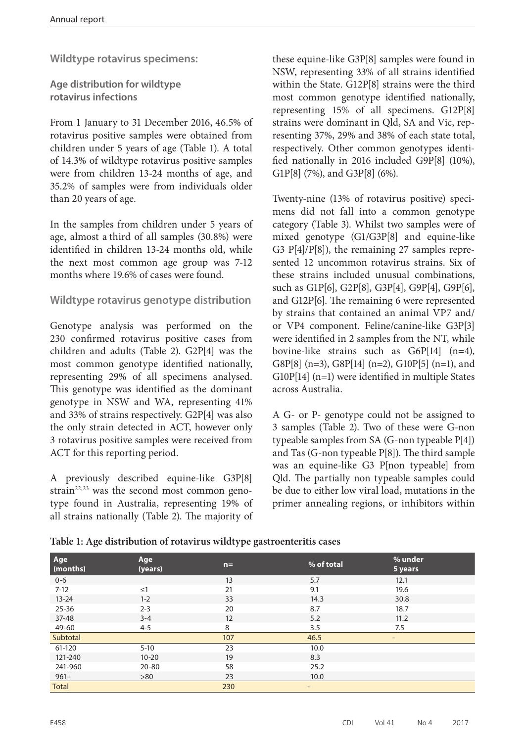**Wildtype rotavirus specimens:**

**Age distribution for wildtype rotavirus infections**

From 1 January to 31 December 2016, 46.5% of rotavirus positive samples were obtained from children under 5 years of age (Table 1). A total of 14.3% of wildtype rotavirus positive samples were from children 13-24 months of age, and 35.2% of samples were from individuals older than 20 years of age.

In the samples from children under 5 years of age, almost a third of all samples (30.8%) were identified in children 13-24 months old, while the next most common age group was 7-12 months where 19.6% of cases were found.

#### **Wildtype rotavirus genotype distribution**

Genotype analysis was performed on the 230 confirmed rotavirus positive cases from children and adults (Table 2). G2P[4] was the most common genotype identified nationally, representing 29% of all specimens analysed. This genotype was identified as the dominant genotype in NSW and WA, representing 41% and 33% of strains respectively. G2P[4] was also the only strain detected in ACT, however only 3 rotavirus positive samples were received from ACT for this reporting period.

A previously described equine-like G3P[8] strain<sup>22,23</sup> was the second most common genotype found in Australia, representing 19% of all strains nationally (Table 2). The majority of these equine-like G3P[8] samples were found in NSW, representing 33% of all strains identified within the State. G12P[8] strains were the third most common genotype identified nationally, representing 15% of all specimens. G12P[8] strains were dominant in Qld, SA and Vic, representing 37%, 29% and 38% of each state total, respectively. Other common genotypes identified nationally in 2016 included G9P[8] (10%), G1P[8] (7%), and G3P[8] (6%).

Twenty-nine (13% of rotavirus positive) specimens did not fall into a common genotype category (Table 3). Whilst two samples were of mixed genotype (G1/G3P[8] and equine-like G3 P[4]/P[8]), the remaining 27 samples represented 12 uncommon rotavirus strains. Six of these strains included unusual combinations, such as G1P[6], G2P[8], G3P[4], G9P[4], G9P[6], and G12P[6]. The remaining 6 were represented by strains that contained an animal VP7 and/ or VP4 component. Feline/canine-like G3P[3] were identified in 2 samples from the NT, while bovine-like strains such as G6P[14] (n=4), G8P[8] (n=3), G8P[14] (n=2), G10P[5] (n=1), and G10P[14] (n=1) were identified in multiple States across Australia.

A G- or P- genotype could not be assigned to 3 samples (Table 2). Two of these were G-non typeable samples from SA (G-non typeable P[4]) and Tas (G-non typeable P[8]). The third sample was an equine-like G3 P[non typeable] from Qld. The partially non typeable samples could be due to either low viral load, mutations in the primer annealing regions, or inhibitors within

| Age<br>(months) | Age<br>(years) | $n =$ | % of total               | % under<br>5 years       |  |
|-----------------|----------------|-------|--------------------------|--------------------------|--|
| $0 - 6$         |                | 13    | 5.7                      | 12.1                     |  |
| $7-12$          | $\leq$ 1       | 21    | 9.1                      | 19.6                     |  |
| $13 - 24$       | $1 - 2$        | 33    | 14.3                     | 30.8                     |  |
| $25 - 36$       | $2 - 3$        | 20    | 8.7                      | 18.7                     |  |
| $37 - 48$       | $3 - 4$        | 12    | 5.2                      | 11.2                     |  |
| 49-60           | $4 - 5$        | 8     | 3.5                      | 7.5                      |  |
| Subtotal        |                | 107   | 46.5                     | $\overline{\phantom{a}}$ |  |
| 61-120          | $5 - 10$       | 23    | 10.0                     |                          |  |
| 121-240         | $10 - 20$      | 19    | 8.3                      |                          |  |
| 241-960         | $20 - 80$      | 58    | 25.2                     |                          |  |
| $961 +$         | >80            | 23    | 10.0                     |                          |  |
| <b>Total</b>    |                | 230   | $\overline{\phantom{a}}$ |                          |  |

**Table 1: Age distribution of rotavirus wildtype gastroenteritis cases**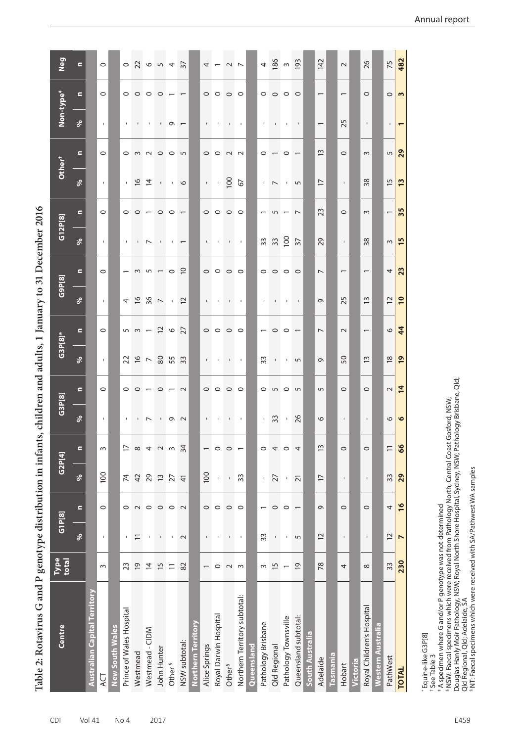Table 2: Rotavirus G and P genotype distribution in infants, children and adults, 1 January to 31 December 2016 **Table 2: Rotavirus G and P genotype distribution in infants, children and adults, 1 January to 31 December 2016**

| Centre                              | Type<br>total            | G1P[8]           |                          | G2P[4]                   |                | G3P[8]                   |                | $G3P[8]^*$               |                          | G9P[8]                   |                          | G12P[8]                  |                          | Other <sup>+</sup> |                | Non-type <sup>#</sup>    |                          | Neg            |
|-------------------------------------|--------------------------|------------------|--------------------------|--------------------------|----------------|--------------------------|----------------|--------------------------|--------------------------|--------------------------|--------------------------|--------------------------|--------------------------|--------------------|----------------|--------------------------|--------------------------|----------------|
|                                     |                          | ৡ                | $\blacksquare$           | ್ಗೆ                      | $\blacksquare$ | ್ಗೆ                      | $\epsilon$     | ್ಗೆ                      | $\epsilon$               | ৡ                        | $\blacksquare$           | ್ಗೆ                      | $\blacksquare$           | $\delta$           | $\blacksquare$ | ್ಗೆ                      | $\blacksquare$           | $\blacksquare$ |
| <b>Australian Capital Territory</b> |                          |                  |                          |                          |                |                          |                |                          |                          |                          |                          |                          |                          |                    |                |                          |                          |                |
| <b>ACT</b>                          | 3                        | $\mathsf I$      | $\circ$                  | 100                      | S              | $\mathbf{I}$             | $\circ$        | $\mathbf I$              | $\circ$                  | $\mathbf I$              | $\circ$                  | $\mathsf{L}$             | $\circ$                  | $\mathbf{I}$       | $\circ$        | $\mathbf{I}$             | $\circ$                  | $\circ$        |
| <b>New South Wales</b>              |                          |                  |                          |                          |                |                          |                |                          |                          |                          |                          |                          |                          |                    |                |                          |                          |                |
| Prince of Wales Hospital            | 23                       | $\mathbf I$      | $\circ$                  | $\overline{\mathcal{X}}$ | $\overline{1}$ | $\mathsf I$              | $\circ$        | 22                       | 5                        | 4                        | $\overline{ }$           | $\mathbf{I}$             | $\circ$                  | $\mathbf{I}$       | $\circ$        | $\mathbf{I}$             | $\circ$                  | $\circ$        |
| Westmead                            | $\overline{9}$           | $\Xi$            | $\sim$                   | $\overline{4}$           | ${}^{\circ}$   | τ.                       | $\circ$        | $\frac{6}{2}$            | $\sim$                   | $\frac{6}{2}$            | $\sim$                   | $\mathbf{I}$             | $\circ$                  | $\frac{8}{1}$      | $\sim$         | $\mathsf I$              | $\circ$                  | 22             |
| Westmead - CIDM                     | $\overline{4}$           | $\,$             | $\circ$                  | 29                       | 4              | $\overline{\phantom{0}}$ | $\overline{ }$ | $\overline{\phantom{a}}$ | $\overline{\phantom{0}}$ | 36                       | 5                        | $\overline{\phantom{0}}$ | $\overline{\phantom{0}}$ | $\overline{4}$     | $\sim$         | $\mathbf I$              | $\circ$                  | 6              |
| John Hunter                         | $\overline{15}$          | $\mathsf I$      | $\circ$                  | $\tilde{1}$              | $\sim$         | $\mathbf{I}$             | $\circ$        | $80$                     | $\overline{c}$           | $\overline{ }$           |                          | $\mathbf{I}$             | $\circ$                  | $\mathsf I$        | $\circ$        | $\mathbf{I}$             | $\circ$                  | 52             |
| Other <sup>§</sup>                  | $\overline{1}$           | $\mathbf I$      | $\circ$                  | 27                       | $\mathsf{S}$   | $\sigma$                 | $\overline{ }$ | 55                       | $\circ$                  |                          | $\circ$                  | ٠                        | $\circ$                  | $\mathbf I$        | $\circ$        | Ō                        |                          |                |
| NSW subtotal:                       | 82                       | $\sim$           | $\sim$                   | $\frac{4}{3}$            | 34             | $\sim$                   | $\sim$         | 33                       | 27                       | $\overline{c}$           | $\overline{C}$           | $\overline{ }$           |                          | $\circ$            | $\sqrt{2}$     | $\overline{\phantom{0}}$ |                          | $\overline{5}$ |
| Northern Territory                  |                          |                  |                          |                          |                |                          |                |                          |                          |                          |                          |                          |                          |                    |                |                          |                          |                |
| Alice Springs                       | $\overline{\phantom{0}}$ | $\mathsf I$      | $\circ$                  | 100                      |                | $\mathsf I$              | $\circ$        | $\mathbf{I}$             | $\circ$                  | $\mathbf I$              | $\circ$                  | $\mathbf{I}$             | $\circ$                  | $\mathsf I$        | $\circ$        | $\mathsf I$              | $\circ$                  | 4              |
| Royal Darwin Hospital               | $\circ$                  | $\mathbf{I}$     | $\circ$                  | Ţ                        | $\circ$        | 1                        | $\circ$        | ٠                        | $\circ$                  |                          | $\circ$                  | $\mathbf I$              | $\circ$                  | T.                 | $\circ$        | ٠                        | $\circ$                  |                |
| Other <sup>§</sup>                  | $\sim$                   | $\mathsf I$      | $\circ$                  | $\mathbf I$              | $\circ$        | $\mathsf{L}$             | $\circ$        | $\mathbf{I}$             | $\circ$                  | $\mathbf{I}$             | $\circ$                  | $\mathbf I$              | $\circ$                  | 100                | $\sim$         | $\mathbf{I}$             | $\circ$                  | $\sim$         |
| Northern Territory subtotal:        | ് ന                      | $\,$             | $\circ$                  | 33                       |                | $\mathbf{I}$             | $\circ$        | $\overline{\phantom{a}}$ | $\circ$                  | $\overline{\phantom{a}}$ | $\circ$                  | $\overline{\phantom{a}}$ | $\circ$                  | 67                 | $\sim$         | $\mathbf{I}$             | $\circ$                  | $\overline{ }$ |
| Queensland                          |                          |                  |                          |                          |                |                          |                |                          |                          |                          |                          |                          |                          |                    |                |                          |                          |                |
| Pathology Brisbane                  | $\sim$                   | 33               |                          | Ţ                        | $\circ$        | $\mathbf{I}$             | $\circ$        | 33                       | $\overline{\phantom{0}}$ | $\mathbf{I}$             | $\circ$                  | 33                       |                          | $\mathbf{I}$       | $\circ$        | $\mathbf{I}$             | $\circ$                  | 4              |
| Qld Regional                        | $\overline{1}$           | $\mathsf I$      | $\circ$                  | 27                       | 4              | 33                       | 5              | $\mathbf{I}$             | $\circ$                  |                          | $\circ$                  | 33                       | 5                        | $\overline{ }$     |                | $\mathbf{I}$             | $\circ$                  | 86             |
| Pathology Townsville                |                          | $\mathbf{I}$     | $\circ$                  | ı                        | $\circ$        | $\mathbf{I}$             | $\circ$        | $\mathbf{I}$             | $\circ$                  | J,                       | $\circ$                  | $\overline{5}$           |                          | ٠                  | 0              | $\mathbf I$              | $\circ$                  | $\sim$         |
| Queensland subtotal:                | $\overline{9}$           | 5                | $\overline{\phantom{0}}$ | $\overline{21}$          | 4              | 26                       | 5              | 5                        |                          |                          | $\circ$                  | $\overline{37}$          | $\overline{ }$           | 5                  |                | $\mathsf I$              | $\circ$                  | 193            |
| South Australia                     |                          |                  |                          |                          |                |                          |                |                          |                          |                          |                          |                          |                          |                    |                |                          |                          |                |
| Adelaide                            | 78                       | $\overline{C}$   | G                        | $\overline{1}$           | $\tilde{1}$    | $\circ$                  | 5              | $\sigma$                 | $\overline{ }$           | G                        | $\overline{ }$           | 29                       | 23                       | $\overline{1}$     | $\frac{3}{2}$  | $\overline{\phantom{0}}$ | $\overline{\phantom{0}}$ | 142            |
| <b>Tasmania</b>                     |                          |                  |                          |                          |                |                          |                |                          |                          |                          |                          |                          |                          |                    |                |                          |                          |                |
| Hobart                              | 4                        | $\mathbf{I}$     | $\circ$                  | $\mathbf I$              | $\circ$        | I.                       | $\circ$        | 50                       | $\sim$                   | 25                       | $\overline{\phantom{0}}$ | $\mathbf{I}$             | $\circ$                  | $\mathbf I$        | $\circ$        | 25                       | $\overline{ }$           | $\sim$         |
| <b>lictoria</b>                     |                          |                  |                          |                          |                |                          |                |                          |                          |                          |                          |                          |                          |                    |                |                          |                          |                |
| Royal Children's Hospital           | $\infty$                 | $\mathsf I$      | $\circ$                  | $\mathsf I$              | $\circ$        | $\mathsf I$              | $\circ$        | $\tilde{1}$              | $\overline{\phantom{0}}$ | $\tilde{1}$              | $\overline{\phantom{0}}$ | 38                       | $\sim$                   | 38                 | $\sim$         | $\mathbf{I}$             | $\circ$                  | 26             |
| <b>Nestern Australia</b>            |                          |                  |                          |                          |                |                          |                |                          |                          |                          |                          |                          |                          |                    |                |                          |                          |                |
| PathWest                            | 33                       | 12               | 4                        | 33                       | $\equiv$       | $\circ$                  | $\sim$         | $\frac{8}{18}$           | $\circ$                  | $\overline{C}$           | 4                        | $\sim$                   | $\overline{\phantom{0}}$ | $\overline{1}$     | 5              | $\mathbf{I}$             | $\circ$                  | 75             |
| <b>TOTAL</b>                        | 230                      | $\triangleright$ | 16                       | 29                       | 66             | $\bullet$                | $\overline{4}$ | $\overline{19}$          | $\frac{4}{4}$            | $\overline{10}$          | 23                       | S                        | 35                       | $\overline{1}$     | 29             |                          | $\mathbf{r}$             | 482            |
|                                     |                          |                  |                          |                          |                |                          |                |                          |                          |                          |                          |                          |                          |                    |                |                          |                          |                |

\* Equine-like G3P[8]

\* Equine-like G3P[8]<br>† See Table 3 † See Table 3

‡ A specimen where G and/or P genotype was not determined

\* A specimen where G and/or P genotype was not determined<br>§ NSW: Faecal specimens which were received from Pathology North, Central Coast Gosford, NSW;<br>Douglas Hanly Moir Pathology, NSW; Royal North Shore Hospital, Sydney, Douglas Hanly Moir Pathology, NSW; Royal North Shore Hospital, Sydney, NSW; Pathology Brisbane, Qld; § NSW: Faecal specimens which were received from Pathology North, Central Coast Gosford, NSW;

Qld Regional, Qld; Adelaide, SA

§ NT: Faecal specimens which were received with SA/Pathwest WA samples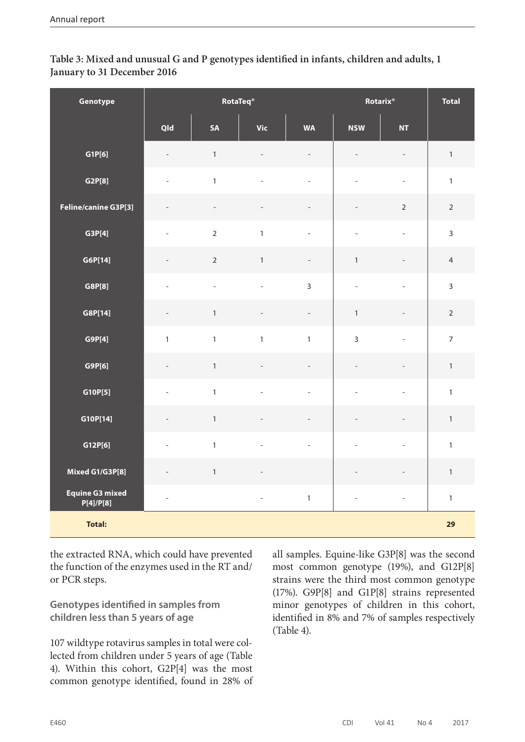#### **Table 3: Mixed and unusual G and P genotypes identified in infants, children and adults, 1 January to 31 December 2016**

| Genotype                            |                          | RotaTeq <sup>®</sup> |                          |                          | Rotarix <sup>®</sup>     |                          | <b>Total</b>   |
|-------------------------------------|--------------------------|----------------------|--------------------------|--------------------------|--------------------------|--------------------------|----------------|
|                                     | Qld                      | SA                   | <b>Vic</b>               | <b>WA</b>                | <b>NSW</b>               | <b>NT</b>                |                |
| GIP[6]                              | $\overline{\phantom{m}}$ | $\mathbf{1}$         | $\overline{\phantom{a}}$ | $\overline{\phantom{a}}$ | $\overline{a}$           | $\overline{\phantom{a}}$ | $\mathbbm{1}$  |
| G2P[8]                              | $\qquad \qquad -$        | $\mathbf{1}$         | $\overline{\phantom{a}}$ | $\overline{\phantom{a}}$ | $\overline{a}$           | $\overline{\phantom{a}}$ | $\mathbf{1}$   |
| Feline/canine G3P[3]                | $\overline{a}$           | $\qquad \qquad -$    | $\qquad \qquad -$        | $\overline{\phantom{a}}$ | $\overline{a}$           | $\overline{2}$           | $\overline{2}$ |
| G3P[4]                              | $\overline{\phantom{0}}$ | $\mathbf 2$          | $\mathbf{1}$             | $\overline{\phantom{a}}$ | $\qquad \qquad -$        | $\overline{\phantom{a}}$ | $\overline{3}$ |
| G6P[14]                             | $\overline{a}$           | $\overline{2}$       | $\mathbf{1}$             | $\overline{\phantom{m}}$ | $\mathbf{1}$             | $\overline{\phantom{a}}$ | $\overline{4}$ |
| G8P[8]                              | $\overline{\phantom{0}}$ | $\overline{a}$       | $\overline{\phantom{0}}$ | $\overline{3}$           | $\overline{\phantom{a}}$ | $\overline{\phantom{0}}$ | $\overline{3}$ |
| G8P[14]                             |                          | $\mathbf{1}$         | $\overline{a}$           | $\qquad \qquad -$        | $\mathbf{1}$             | $\qquad \qquad -$        | $\overline{2}$ |
| G9P[4]                              | $\mathbf{1}$             | $\mathbf{1}$         | $\mathbf{1}$             | $\mathbf{1}$             | $\overline{3}$           | $\overline{\phantom{0}}$ | $\overline{7}$ |
| G9P[6]                              | $\overline{\phantom{a}}$ | $\mathbf 1$          | $\overline{\phantom{a}}$ | $\overline{\phantom{a}}$ | $\overline{\phantom{a}}$ | $\overline{\phantom{0}}$ | $\mathbf{1}$   |
| G10P[5]                             | $\overline{\phantom{0}}$ | $\mathbf{1}$         | $\overline{\phantom{m}}$ | $\frac{1}{2}$            | $\overline{a}$           | $\overline{\phantom{0}}$ | $\mathbf{1}$   |
| G10P[14]                            |                          | $\mathbf{1}$         | $\overline{\phantom{m}}$ | $\overline{\phantom{a}}$ | L                        | $\overline{a}$           | $\mathbf{1}$   |
| G12P[6]                             | $\overline{\phantom{a}}$ | $\mathbf{1}$         | $\overline{\phantom{a}}$ | $\overline{\phantom{0}}$ | $\overline{a}$           | $\overline{\phantom{a}}$ | $\mathbf{1}$   |
| Mixed G1/G3P[8]                     | $\overline{\phantom{a}}$ | $\mathbf{1}$         | $\overline{\phantom{a}}$ |                          |                          | $\overline{\phantom{m}}$ | $\mathbf{1}$   |
| <b>Equine G3 mixed</b><br>P[4]/P[8] | $\overline{\phantom{a}}$ |                      | $\mathbb{Z}^2$           | $\mathbf{1}$             | $\overline{\phantom{a}}$ | $\overline{\phantom{a}}$ | $\mathbf{1}$   |
| <b>Total:</b>                       |                          |                      |                          |                          |                          |                          | 29             |

the extracted RNA, which could have prevented the function of the enzymes used in the RT and/ or PCR steps.

**Genotypes identified in samples from children less than 5 years of age**

107 wildtype rotavirus samples in total were collected from children under 5 years of age (Table 4). Within this cohort, G2P[4] was the most common genotype identified, found in 28% of all samples. Equine-like G3P[8] was the second most common genotype (19%), and G12P[8] strains were the third most common genotype (17%). G9P[8] and G1P[8] strains represented minor genotypes of children in this cohort, identified in 8% and 7% of samples respectively (Table 4).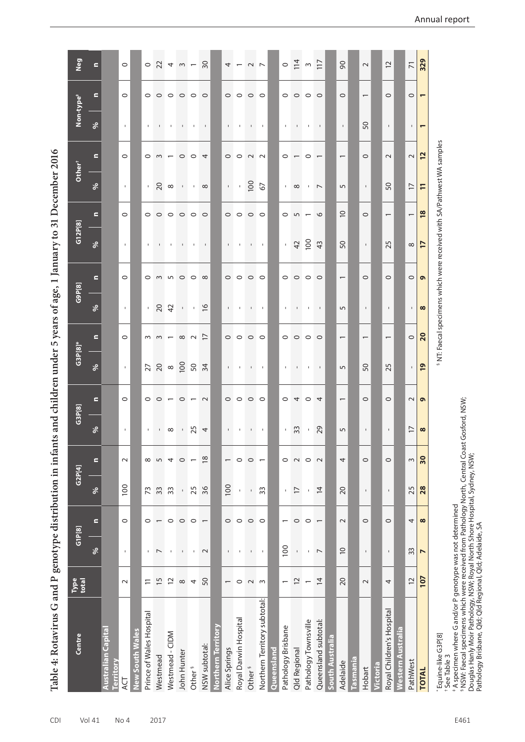Table 4: Rotavirus G and P genotype distribution in infants and children under 5 years of age, 1 January to 31 December 2016 **Table 4: Rotavirus G and P genotype distribution in infants and children under 5 years of age, 1 January to 31 December 2016**

| Centre                            | Type<br>total            |                  | GIP[8]                   | G2P[4]         |                          | G3P[8]                   |                          | $G3P[8]^*$                  |                          | G9P[8]                    |                 | G12P[8]                                                                           |                          | Other <sup>+</sup> |                                            | Non-type <sup>#</sup>       |                          | Neg                     |
|-----------------------------------|--------------------------|------------------|--------------------------|----------------|--------------------------|--------------------------|--------------------------|-----------------------------|--------------------------|---------------------------|-----------------|-----------------------------------------------------------------------------------|--------------------------|--------------------|--------------------------------------------|-----------------------------|--------------------------|-------------------------|
|                                   |                          | $\delta$         | $\blacksquare$           | $\delta$       | $\blacksquare$           | $\delta$                 | $\blacksquare$           | $\delta$                    | $\blacksquare$           | $\delta$                  | $\blacksquare$  | ್ಗೆ                                                                               | $\blacksquare$           | $\delta$           | $\blacksquare$                             | $\delta$                    | $\blacksquare$           | $\blacksquare$          |
| Australian Capital<br>erritory    |                          |                  |                          |                |                          |                          |                          |                             |                          |                           |                 |                                                                                   |                          |                    |                                            |                             |                          |                         |
| ŲЯ                                | $\sim$                   | $\mathbf I$      | $\circ$                  | 100            | $\sim$                   | $\Gamma$                 | $\circ$                  | $\mathbf{L}$                | $\circ$                  | $\mathbf{I}$              | $\circ$         | $\mathbf{I}$                                                                      | $\circ$                  | $\mathbf{I}$       | $\circ$                                    | $\mathbf{I}$                | $\circ$                  | $\circ$                 |
| <b>New South Wales</b>            |                          |                  |                          |                |                          |                          |                          |                             |                          |                           |                 |                                                                                   |                          |                    |                                            |                             |                          |                         |
| Prince of Wales Hospital          | $\Xi$                    | $\mathbf{I}$     | $\circ$                  | 73             | $\infty$                 | $\mathbf{I}$             | $\circ$                  |                             |                          | $\mathbf{L}$              | $\circ$         | $\mathbf{I}$                                                                      | $\circ$                  |                    | $\circ$                                    | $\mathbf{I}$                | $\circ$                  |                         |
| Westmead                          | $\overline{5}$           | $\overline{ }$   |                          | 33             | $\overline{5}$           | $\mathbf{I}$             | $\circ$                  |                             | $m \, m$                 | 20                        | $\sim$          | $\mathbf{I}$                                                                      | $\circ$                  | $\frac{1}{20}$     | $\sim$                                     | $\mathbf{L}_{\mathrm{eff}}$ | $\circ$                  | $0$ $2$ $4$ $m$ $-$     |
| Westmead - CIDM                   | $\overline{c}$           | $\blacksquare$   | $\circ$                  | 33             | 4                        | $\infty$                 | $\overline{\phantom{0}}$ |                             | $\overline{\phantom{0}}$ | $\overline{4}$            | 50              | $\mathbf{I}$                                                                      | $\circ$ $\circ$          | ${}^{\circ}$       | $\overline{\phantom{0}}$                   | $\mathbf I$                 | $\circ$ $\circ$          |                         |
| John Hunter                       | $\infty$                 | t.               | $\circ$                  | $\Gamma$       | $\circ$                  | $\mathbf{L}$             | $\circ$                  |                             | $\infty$                 | $\mathbf{L}$ .            |                 | $\mathbf{I}$                                                                      |                          | $\Gamma$ .         | $\circ$                                    | $\Gamma$ .                  |                          |                         |
| Other <sup>§</sup>                | 4                        | $\mathbf I$      | $\circ$                  | 25             | $\overline{\phantom{0}}$ | 25                       |                          |                             | $\sim$                   | $\mathbf{I}$              | $\circ$         | $\mathbf{I}$                                                                      | $\circ$                  | $\mathbf{I}$       | $\circ$                                    | $\mathbf{I}$                | $\circ$                  |                         |
| NSW subtotal:                     | 50                       | $\sim$           | $\overline{\phantom{0}}$ | 36             | $\frac{8}{2}$            | $\overline{\phantom{a}}$ | $\sim$                   | 34                          | $\overline{1}$           | $\frac{9}{2}$             | $\infty$        | $\mathbf{I}$                                                                      | $\circ$                  | $\infty$           | 4                                          | $\mathbf{I}$                | $\circ$                  | 30                      |
| Northern Territory                |                          |                  |                          |                |                          |                          |                          |                             |                          |                           |                 |                                                                                   |                          |                    |                                            |                             |                          |                         |
| Alice Springs                     | $\overline{\phantom{0}}$ | $\mathsf I$      | $\circ$                  | 100            | $\overline{\phantom{0}}$ | $\mathbf{I}$             | $\circ$                  | $\mathbf{I}$                | $\circ$                  | $\mathbf{I}$              | $\circ$         | $\mathbf{I}$                                                                      | $\circ$                  | $\mathbf{I}$       | $\circ$                                    | $\mathbf{I}$                | $\circ$                  | 4                       |
| Royal Darwin Hospital             | $\circ$                  | I.               | $\circ$                  | $\mathsf I$    | $\circ$                  | $\mathbf{I}$             | $\circ$                  |                             | $\circ$                  | $\mathbf{I}$              | $\circ$         | $\mathbf{I}$                                                                      | $\circ$                  | $\mathbf{L}$       | $\circ$                                    | $\mathbf{I}$                | $\circ$                  |                         |
| Other <sup>§</sup>                | $\sim$ $\sim$            | $\mathsf I$      | $\circ$                  | $\mathbf{I}$   | $\circ$                  | $\mathbf{1}$             | $\circ$                  | $\mathbf I$                 | $\circ$                  | $\mathbf{L}_{\mathrm{c}}$ | $\circ$ $\circ$ | $\mathbf{1}$                                                                      | $\circ$ $\circ$          | 100                | $\begin{array}{c} \n 2 \\ 1\n \end{array}$ | $\mathbf{1}$                | $\circ$                  |                         |
| Northern Territory subtotal:      |                          | $\mathsf I$      | $\circ$                  | 33             | $\overline{ }$           | $\mathbf{L}$             | $\circ$                  | $\mathbf{L}_{\mathbf{L}}$   | $\circ$                  | $\mathbf{I}$              |                 | $\mathbf{L}$                                                                      |                          | 67                 |                                            | $\mathbf{L}$                | $\circ$                  | $\sim$                  |
| Queensland                        |                          |                  |                          |                |                          |                          |                          |                             |                          |                           |                 |                                                                                   |                          |                    |                                            |                             |                          |                         |
| Pathology Brisbane                |                          | 100              |                          | $\mathsf{L}$   | $\circ$                  | $\mathbf{L}$             | $\circ$                  | $\mathbf{I}$                | $\circ$                  | $\mathbf{I}$              | $\circ$         | $\mathbf{L}$                                                                      | $\circ$                  | $\mathbf{I}$       | $\circ$                                    | $\mathbf{I}$                | $\circ$                  |                         |
| Qld Regional                      | $\simeq$                 | $\mathsf{I}$     | $\circ$                  | $\overline{1}$ | $\sim$                   | 33                       | 4                        | $\mathbf{L}_{\mathrm{eff}}$ | $\circ$                  | $\mathbf{I}$              | $\circ$         | 42                                                                                | 5                        | $\infty$           |                                            | $\Gamma$ .                  | $\circ$                  | $0 \nightharpoonup \pi$ |
| Pathology Townsville              | $\overline{ }$           | $\mathbf I$      | $\circ$                  | $\mathbf I$    | $\circ$                  | $\mathbf I$              | $\circ$                  | л.                          | $\circ$                  | $\mathbf{I}$              | $\circ$         | 100                                                                               | $\overline{\phantom{0}}$ | $\mathbf{I}$       | $\circ$                                    | $\mathbf{I}$                | $\circ$                  |                         |
| Queensland subtotal:              | $\overline{4}$           | $\overline{ }$   | $\overline{ }$           | $\overline{4}$ | $\sim$                   | 29                       | 4                        | $\mathbf{I}$                | $\circ$                  | $\mathbf I$               | $\circ$         | 43                                                                                | $\circ$                  | $\overline{ }$     | $\overline{ }$                             | $\mathbf I$                 | $\circ$                  | 117                     |
| South Australia                   |                          |                  |                          |                |                          |                          |                          |                             |                          |                           |                 |                                                                                   |                          |                    |                                            |                             |                          |                         |
| Adelaide                          | 20                       | $\supseteq$      | $\sim$                   | 20             | 4                        | 5                        | $\overline{\phantom{0}}$ | 5                           | $\overline{\phantom{0}}$ | 5                         |                 | 50                                                                                | $\overline{C}$           | 5                  | $\overline{\phantom{0}}$                   | $\blacksquare$              | $\circ$                  | 90                      |
| asmania                           |                          |                  |                          |                |                          |                          |                          |                             |                          |                           |                 |                                                                                   |                          |                    |                                            |                             |                          |                         |
| Hobart                            | $\sim$                   | $\mathsf I$      | $\circ$                  | $\mathsf{I}$   | $\circ$                  | $\mathbf{I}$             | $\circ$                  | 50                          | $\overline{\phantom{0}}$ | $\mathbf{I}$              | $\circ$         | $\mathbb{L}$                                                                      | $\circ$                  | $\mathbf{L}$       | $\circ$                                    | 50                          | $\overline{\phantom{m}}$ | $\sim$                  |
| <b>ictoria</b>                    |                          |                  |                          |                |                          |                          |                          |                             |                          |                           |                 |                                                                                   |                          |                    |                                            |                             |                          |                         |
| Royal Children's Hospital         | 4                        | $\blacksquare$   | $\circ$                  | $\mathsf I$    | $\circ$                  | $\mathsf I$              | $\circ$                  | 25                          | $\overline{\phantom{m}}$ | $\mathbf{I}$              | $\circ$         | 25                                                                                | $\overline{\phantom{0}}$ | 50                 | $\sim$                                     | $\mathbf I$                 | $\circ$                  | $\overline{c}$          |
| estern Australia                  |                          |                  |                          |                |                          |                          |                          |                             |                          |                           |                 |                                                                                   |                          |                    |                                            |                             |                          |                         |
| PathWest                          | $\overline{C}$           | 33               | 4                        | 25             | $\sim$                   | $\overline{17}$          | $\sim$                   | $\mathbf{I}$                | $\circ$                  | $\mathbf{I}$              | $\circ$         | $\infty$                                                                          | $\overline{\phantom{m}}$ | $\overline{1}$     | $\sim$                                     | $\mathbf{I}$                | $\circ$                  | $\overline{7}$          |
| <b>TOTAL</b>                      | 107                      | $\triangleright$ | $\infty$                 | 28             | 30                       | $\infty$                 | $\sigma$                 | $\overline{19}$             | 20                       | $\infty$                  | $\bullet$       | 17                                                                                | 18                       | $\overline{1}$     | 12                                         | $\overline{ }$              | $\overline{ }$           | 329                     |
| Equine-like G3P[8]<br>See Table 3 |                          |                  |                          |                |                          |                          |                          |                             |                          |                           |                 | <sup>5</sup> NT: Faecal specimens which were received with SA/Pathwest WA samples |                          |                    |                                            |                             |                          |                         |

‡ A specimen where G and/or P genotype was not determined

§ NSW: Faecal specimens which were received from Pathology North, Central Coast Gosford, NSW;

\* A specimen where G and/or P genotype was not determined<br>§ NSW: Faecal specimens which were received from Pathology North, Central Coast Gosford, NSW;<br>Douglas Hanly Moir Pathology, NSW; Royal North Shore Hospital, Sydney,

Douglas Hanly Moir Pathology, NSW; Royal North Shore Hospital, Sydney, NSW;

Pathology Brisbane, Qld; Qld Regional, Qld; Adelaide, SA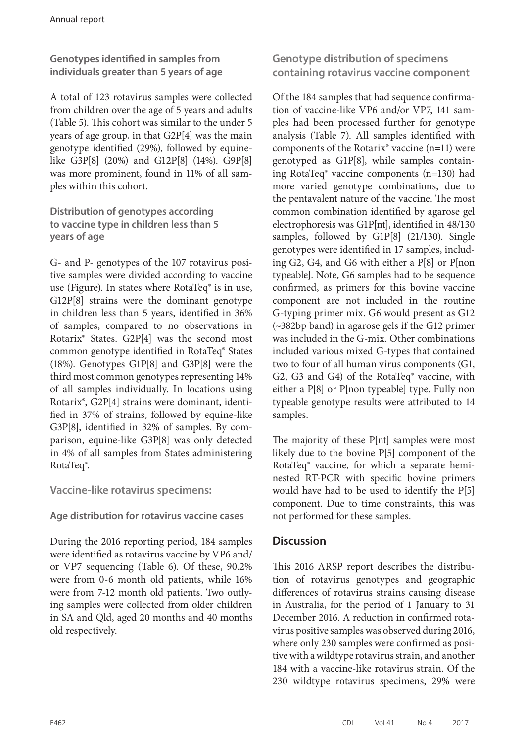**Genotypes identified in samples from individuals greater than 5 years of age**

A total of 123 rotavirus samples were collected from children over the age of 5 years and adults (Table 5). This cohort was similar to the under 5 years of age group, in that G2P[4] was the main genotype identified (29%), followed by equinelike G3P[8] (20%) and G12P[8] (14%). G9P[8] was more prominent, found in 11% of all samples within this cohort.

**Distribution of genotypes according to vaccine type in children less than 5 years of age**

G- and P- genotypes of the 107 rotavirus positive samples were divided according to vaccine use (Figure). In states where RotaTeq® is in use, G12P[8] strains were the dominant genotype in children less than 5 years, identified in 36% of samples, compared to no observations in Rotarix® States. G2P[4] was the second most common genotype identified in RotaTeq® States (18%). Genotypes G1P[8] and G3P[8] were the third most common genotypes representing 14% of all samples individually. In locations using Rotarix®, G2P[4] strains were dominant, identified in 37% of strains, followed by equine-like G3P[8], identified in 32% of samples. By comparison, equine-like G3P[8] was only detected in 4% of all samples from States administering RotaTeq®.

**Vaccine-like rotavirus specimens:**

**Age distribution for rotavirus vaccine cases**

During the 2016 reporting period, 184 samples were identified as rotavirus vaccine by VP6 and/ or VP7 sequencing (Table 6). Of these, 90.2% were from 0-6 month old patients, while 16% were from 7-12 month old patients. Two outlying samples were collected from older children in SA and Qld, aged 20 months and 40 months old respectively.

**Genotype distribution of specimens containing rotavirus vaccine component**

Of the 184 samples that had sequence confirmation of vaccine-like VP6 and/or VP7, 141 samples had been processed further for genotype analysis (Table 7). All samples identified with components of the Rotarix® vaccine (n=11) were genotyped as G1P[8], while samples containing RotaTeq® vaccine components (n=130) had more varied genotype combinations, due to the pentavalent nature of the vaccine. The most common combination identified by agarose gel electrophoresis was G1P[nt], identified in 48/130 samples, followed by G1P[8] (21/130). Single genotypes were identified in 17 samples, including G2, G4, and G6 with either a P[8] or P[non typeable]. Note, G6 samples had to be sequence confirmed, as primers for this bovine vaccine component are not included in the routine G-typing primer mix. G6 would present as G12 (~382bp band) in agarose gels if the G12 primer was included in the G-mix. Other combinations included various mixed G-types that contained two to four of all human virus components (G1, G2, G3 and G4) of the RotaTeq® vaccine, with either a P[8] or P[non typeable] type. Fully non typeable genotype results were attributed to 14 samples.

The majority of these P[nt] samples were most likely due to the bovine P[5] component of the RotaTeq® vaccine, for which a separate heminested RT-PCR with specific bovine primers would have had to be used to identify the P[5] component. Due to time constraints, this was not performed for these samples.

#### **Discussion**

This 2016 ARSP report describes the distribution of rotavirus genotypes and geographic differences of rotavirus strains causing disease in Australia, for the period of 1 January to 31 December 2016. A reduction in confirmed rotavirus positive samples was observed during 2016, where only 230 samples were confirmed as positive with a wildtype rotavirus strain, and another 184 with a vaccine-like rotavirus strain. Of the 230 wildtype rotavirus specimens, 29% were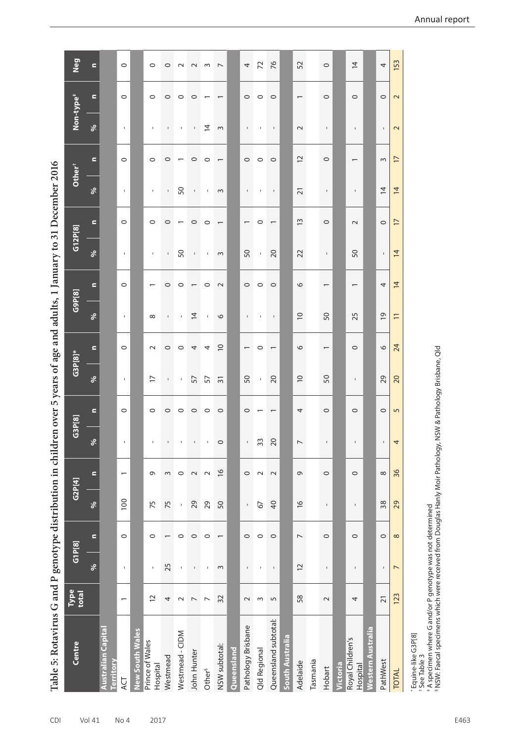Table 5: Rotavirus G and P genotype distribution in children over 5 years of age and adults, 1 January to 31 December 2016 **Table 5: Rotavirus G and P genotype distribution in children over 5 years of age and adults, 1 January to 31 December 2016** 

|                                               |                          | $\ldots$ , $\mathbf{r}$<br>o<br>Q |                |                |                |                          |                |                | Q                        |                |                          |                |                          |                    |                |                           |                          |                          |
|-----------------------------------------------|--------------------------|-----------------------------------|----------------|----------------|----------------|--------------------------|----------------|----------------|--------------------------|----------------|--------------------------|----------------|--------------------------|--------------------|----------------|---------------------------|--------------------------|--------------------------|
| Centre                                        | Type<br>total            | G1P[8]                            |                | G2P[4]         |                | G3P[8]                   |                | $G3P[8]^*$     |                          | G9P[8]         |                          | G12P[8]        |                          | Other <sup>+</sup> |                | Non-type <sup>+</sup>     |                          | Neg                      |
|                                               |                          | $\delta$                          | Ξ              | $\delta$       | $\mathbf{r}$   | $\delta$                 | $\blacksquare$ | $\delta$       | $\blacksquare$           | $\delta$       | $\mathbf{r}$             | $\delta$       | $\blacksquare$           | $\delta$           | $\blacksquare$ | $\delta$                  | Ξ                        | $\blacksquare$           |
| <b>Australian Capital</b><br><b>Territory</b> |                          |                                   |                |                |                |                          |                |                |                          |                |                          |                |                          |                    |                |                           |                          |                          |
| <b>ACT</b>                                    | $\overline{\phantom{0}}$ | $\blacksquare$                    | $\circ$        | 100            | $\overline{ }$ | $\mathbf I$              | $\circ$        | $\blacksquare$ | $\circ$                  | $\mathbf{1}$   | $\circ$                  | $\mathbf{1}$   | $\circ$                  | $\mathbf{1}$       | $\circ$        | $\blacksquare$            | $\circ$                  | $\circ$                  |
| <b>New South Wales</b>                        |                          |                                   |                |                |                |                          |                |                |                          |                |                          |                |                          |                    |                |                           |                          |                          |
| Prince of Wales<br>Hospital                   | 12                       | $\mathsf I$                       | $\circ$        | 75             | G              | $\mathsf{I}$             | $\circ$        | $\overline{1}$ | $\sim$                   | $\infty$       |                          | $\mathsf I$    | $\circ$                  | $\mathbf I$        | $\circ$        | $\mathbf I$               | $\circ$                  | $\circ$                  |
| Westmead                                      | 4                        | 25                                |                | 75             | $\sim$         | $\mathbf{L}$             | $\circ$        | $\mathsf{L}$   | $\circ$                  | $\mathbf{I}$   | $\circ$                  | $\mathbf{L}$   | $\circ$                  | $\mathbf{L}$       | $\circ$        | $\Gamma$ .                | $\circ$                  | $\circ$                  |
| Westmead - CIDM                               | $\sim$                   | $\mathsf I$                       | $\circ$        | $\mathbf I$    | $\circ$        | $\blacksquare$           | $\circ$        | $\mathsf I$    | $\circ$                  | $\mathsf I$    | $\circ$                  | 50             | $\overline{\phantom{0}}$ | 50                 |                | $\mathsf I$               | $\circ$                  | $\sim$                   |
| John Hunter                                   | $\overline{ }$           | $\mathsf I$                       | $\circ$        | 29             | $\sim$         | $\mathbf I$              | $\circ$        | 57             | 4                        | $\overline{4}$ |                          | $\Gamma$       | $\circ$                  | $\Gamma$           | $\circ$        | $\mathbf{L}_{\mathrm{c}}$ | $\circ$                  | $\sim$                   |
| Other <sup>§</sup>                            | $\overline{ }$           | $\mathsf I$                       | $\circ$        | 29             | $\sim$         | $\mathsf I$              | $\circ$        | 57             | 4                        | $\mathbf I$    | $\circ$                  | $\blacksquare$ | $\circ$                  | $\,$ I             | $\circ$        | $\overline{4}$            |                          | $\sim$                   |
| NSW subtotal:                                 | 32                       | $\sim$                            |                | 50             | $\frac{8}{1}$  | $\circ$                  | $\circ$        | $\overline{3}$ | $\supseteq$              | $\circ$        | $\sim$                   | $\sim$         |                          | $\sim$             |                | $\sim$                    |                          | $\overline{\phantom{0}}$ |
| Queensland                                    |                          |                                   |                |                |                |                          |                |                |                          |                |                          |                |                          |                    |                |                           |                          |                          |
| Pathology Brisbane                            | $\sim$                   | $\mathsf I$                       | $\circ$        | $\mathsf I$    | $\circ$        | $\mathbf{I}$             | 0              | 50             |                          | $\mathbf{I}$   | $\circ$                  | 50             | $\overline{\phantom{0}}$ | $\mathbf{I}$       | $\circ$        | $\mathbf{I}$              | $\circ$                  | 4                        |
| Qld Regional                                  | $\sim$                   | $\mathbf I$                       | $\circ$        | 67             | $\sim$         | 33                       |                | $\mathbf{r}$   | $\circ$                  | $\mathbf{I}$   | $\circ$                  | $\mathbf{r}$   | $\circ$                  | $\mathbf I$        | $\circ$        | $\mathbf{I}$              | $\circ$                  | 72                       |
| Queensland subtotal:                          | $\overline{5}$           | $\mathsf I$                       | $\circ$        | $\overline{4}$ | $\sim$         | 20                       |                | 20             |                          | $\mathsf I$    | $\circ$                  | 20             |                          | $\mathsf I$        | $\circ$        | $\mathbf I$               | $\circ$                  | 76                       |
| <b>South Australia</b>                        |                          |                                   |                |                |                |                          |                |                |                          |                |                          |                |                          |                    |                |                           |                          |                          |
| Adelaide                                      | 58                       | $\overline{C}$                    | $\overline{ }$ | $\frac{1}{6}$  | G              | $\overline{\phantom{a}}$ | 4              | $\supseteq$    | $\circ$                  | $\overline{0}$ | $\circ$                  | 22             | 13                       | $\overline{21}$    | $\overline{C}$ | $\sim$                    | $\overline{\phantom{0}}$ | 52                       |
| Tasmania                                      |                          |                                   |                |                |                |                          |                |                |                          |                |                          |                |                          |                    |                |                           |                          |                          |
| Hobart                                        | $\sim$                   | $\blacksquare$                    | $\circ$        | $\blacksquare$ | $\circ$        | I.                       | $\circ$        | 50             | $\overline{\phantom{0}}$ | 50             | $\overline{\phantom{0}}$ | $\mathsf{L}$   | $\circ$                  | $\mathbb{L}$       | $\circ$        | $\mathbf{I}$              | $\circ$                  | $\circ$                  |
| Victoria                                      |                          |                                   |                |                |                |                          |                |                |                          |                |                          |                |                          |                    |                |                           |                          |                          |
| Royal Children's<br>Hospital                  | 4                        | $\mathsf I$                       | $\circ$        | $\mathbf I$    | $\circ$        | $\mathsf I$              | $\circ$        | $\mathbf{I}$   | $\circ$                  | 25             |                          | 50             | $\sim$                   | $\mathsf I$        |                | $\mathsf I$               | $\circ$                  | $\overline{4}$           |
| <b>Nestern Australia</b>                      |                          |                                   |                |                |                |                          |                |                |                          |                |                          |                |                          |                    |                |                           |                          |                          |
| PathWest                                      | $\overline{21}$          | $\mathbf I$                       | $\circ$        | 38             | $\infty$       | $\mathsf I$              | $\circ$        | 29             | $\circ$                  | $\overline{6}$ | 4                        | $\mathsf I$    | $\circ$                  | $\overline{4}$     | $\sim$         | $\mathsf I$               | $\circ$                  | 4                        |
| <b>TOTAL</b>                                  | 123                      | $\overline{ }$                    | $\infty$       | 29             | 36             | 4                        | $\overline{5}$ | 20             | 24                       | $\overline{1}$ | $\overline{4}$           | $\overline{4}$ | $\overline{1}$           | $\overline{4}$     | $\overline{1}$ | $\mathbf{\Omega}$         | $\sim$                   | 153                      |
| $*$ Faujne-like G3P[8]                        |                          |                                   |                |                |                |                          |                |                |                          |                |                          |                |                          |                    |                |                           |                          |                          |

\* Equine-like G3P[8]

† See Table 3

- Equine-inke G3P (8)<br>\* See Table 3<br>\* A specimen where G and/or P genotype was not determined<br>\* NSW: Faecal specimens which were received from Douglas Hanly Moir Pathology, NSW & Pathology Brisbane, Qld § NSW: Faecal specimens which were received from Douglas Hanly Moir Pathology, NSW & Pathology Brisbane, Qld‡ A specimen where G and/or P genotype was not determined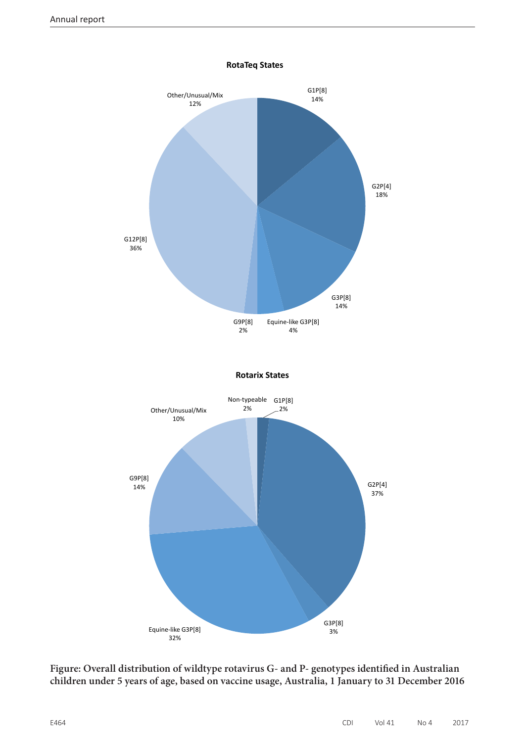

**RotaTeq States**

**Figure: Overall distribution of wildtype rotavirus G- and P- genotypes identified in Australian children under 5 years of age, based on vaccine usage, Australia, 1 January to 31 December 2016**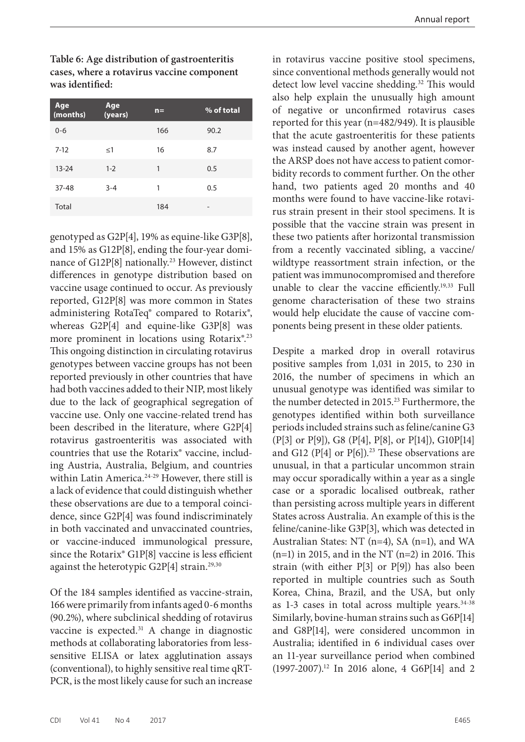Annual report

**Table 6: Age distribution of gastroenteritis cases, where a rotavirus vaccine component was identified:**

| Age<br>(months) | Age<br>(years) | $n =$ | % of total      |
|-----------------|----------------|-------|-----------------|
| $0 - 6$         |                | 166   | 90.2            |
| $7-12$          | $\leq$ 1       | 16    | 8.7             |
| $13 - 24$       | $1 - 2$        | 1     | 0.5             |
| $37 - 48$       | $3 - 4$        | 1     | 0.5             |
| Total           |                | 184   | $\qquad \qquad$ |

genotyped as G2P[4], 19% as equine-like G3P[8], and 15% as G12P[8], ending the four-year dominance of G12P[8] nationally.<sup>23</sup> However, distinct differences in genotype distribution based on vaccine usage continued to occur. As previously reported, G12P[8] was more common in States administering RotaTeq® compared to Rotarix®, whereas G2P[4] and equine-like G3P[8] was more prominent in locations using Rotarix®.23 This ongoing distinction in circulating rotavirus genotypes between vaccine groups has not been reported previously in other countries that have had both vaccines added to their NIP, most likely due to the lack of geographical segregation of vaccine use. Only one vaccine-related trend has been described in the literature, where G2P[4] rotavirus gastroenteritis was associated with countries that use the Rotarix® vaccine, including Austria, Australia, Belgium, and countries within Latin America.<sup>24-29</sup> However, there still is a lack of evidence that could distinguish whether these observations are due to a temporal coincidence, since G2P[4] was found indiscriminately in both vaccinated and unvaccinated countries, or vaccine-induced immunological pressure, since the Rotarix® G1P[8] vaccine is less efficient against the heterotypic G2P[4] strain.<sup>29,30</sup>

Of the 184 samples identified as vaccine-strain, 166 were primarily from infants aged 0-6 months (90.2%), where subclinical shedding of rotavirus vaccine is expected.31 A change in diagnostic methods at collaborating laboratories from lesssensitive ELISA or latex agglutination assays (conventional), to highly sensitive real time qRT-PCR, is the most likely cause for such an increase

in rotavirus vaccine positive stool specimens, since conventional methods generally would not detect low level vaccine shedding.<sup>32</sup> This would also help explain the unusually high amount of negative or unconfirmed rotavirus cases reported for this year (n=482/949). It is plausible that the acute gastroenteritis for these patients was instead caused by another agent, however the ARSP does not have access to patient comorbidity records to comment further. On the other hand, two patients aged 20 months and 40 months were found to have vaccine-like rotavirus strain present in their stool specimens. It is possible that the vaccine strain was present in these two patients after horizontal transmission from a recently vaccinated sibling, a vaccine/ wildtype reassortment strain infection, or the patient was immunocompromised and therefore unable to clear the vaccine efficiently.19,33 Full genome characterisation of these two strains would help elucidate the cause of vaccine components being present in these older patients.

Despite a marked drop in overall rotavirus positive samples from 1,031 in 2015, to 230 in 2016, the number of specimens in which an unusual genotype was identified was similar to the number detected in 2015.<sup>23</sup> Furthermore, the genotypes identified within both surveillance periods included strains such as feline/canine G3 (P[3] or P[9]), G8 (P[4], P[8], or P[14]), G10P[14] and G12 (P[4] or P[6]).<sup>23</sup> These observations are unusual, in that a particular uncommon strain may occur sporadically within a year as a single case or a sporadic localised outbreak, rather than persisting across multiple years in different States across Australia. An example of this is the feline/canine-like G3P[3], which was detected in Australian States: NT (n=4), SA (n=1), and WA  $(n=1)$  in 2015, and in the NT  $(n=2)$  in 2016. This strain (with either P[3] or P[9]) has also been reported in multiple countries such as South Korea, China, Brazil, and the USA, but only as  $1-3$  cases in total across multiple years.<sup>34-38</sup> Similarly, bovine-human strains such as G6P[14] and G8P[14], were considered uncommon in Australia; identified in 6 individual cases over an 11-year surveillance period when combined (1997-2007).12 In 2016 alone, 4 G6P[14] and 2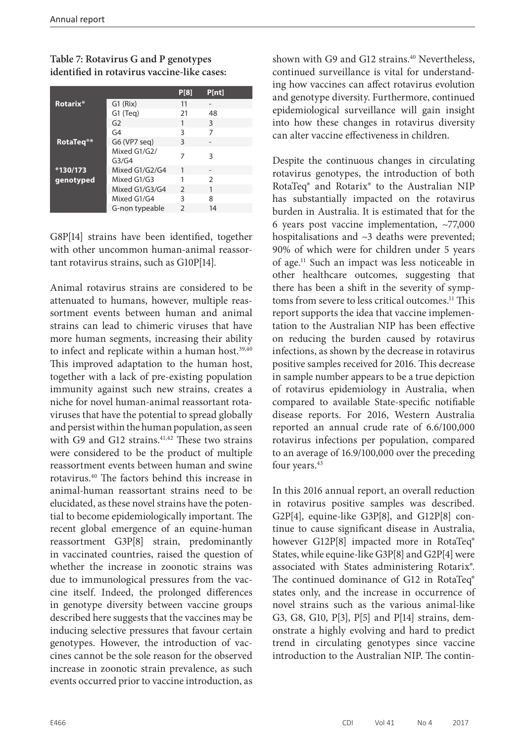#### **Table 7: Rotavirus G and P genotypes identified in rotavirus vaccine-like cases:**

|                            |                       | P[8]          | P[nt]         |
|----------------------------|-----------------------|---------------|---------------|
| <b>Rotarix<sup>®</sup></b> | $G1$ (Rix)            | 11            |               |
|                            | $G1$ (Teg)            | 21            | 48            |
|                            | G <sub>2</sub>        |               | 3             |
|                            | G4                    | ς             |               |
| RotaTeg <sup>®*</sup>      | G6 (VP7 seq)          | 3             |               |
|                            | Mixed G1/G2/<br>G3/G4 |               | З             |
| *130/173                   | Mixed G1/G2/G4        | $\mathbf{1}$  |               |
| genotyped                  | Mixed G1/G3           |               | $\mathcal{P}$ |
|                            | Mixed G1/G3/G4        | $\mathcal{P}$ |               |
|                            | Mixed G1/G4           | ς             | 8             |
|                            | G-non typeable        | $\mathcal{P}$ | 14            |

G8P[14] strains have been identified, together with other uncommon human-animal reassortant rotavirus strains, such as G10P[14].

Animal rotavirus strains are considered to be attenuated to humans, however, multiple reassortment events between human and animal strains can lead to chimeric viruses that have more human segments, increasing their ability to infect and replicate within a human host.<sup>39,40</sup> This improved adaptation to the human host, together with a lack of pre-existing population immunity against such new strains, creates a niche for novel human-animal reassortant rotaviruses that have the potential to spread globally and persist within the human population, as seen with G9 and G12 strains. $41,42$  These two strains were considered to be the product of multiple reassortment events between human and swine rotavirus.40 The factors behind this increase in animal-human reassortant strains need to be elucidated, as these novel strains have the potential to become epidemiologically important. The recent global emergence of an equine-human reassortment G3P[8] strain, predominantly in vaccinated countries, raised the question of whether the increase in zoonotic strains was due to immunological pressures from the vaccine itself. Indeed, the prolonged differences in genotype diversity between vaccine groups described here suggests that the vaccines may be inducing selective pressures that favour certain genotypes. However, the introduction of vaccines cannot be the sole reason for the observed increase in zoonotic strain prevalence, as such events occurred prior to vaccine introduction, as

shown with G9 and G12 strains.<sup>40</sup> Nevertheless, continued surveillance is vital for understanding how vaccines can affect rotavirus evolution and genotype diversity. Furthermore, continued epidemiological surveillance will gain insight into how these changes in rotavirus diversity can alter vaccine effectiveness in children.

Despite the continuous changes in circulating rotavirus genotypes, the introduction of both RotaTeq® and Rotarix® to the Australian NIP has substantially impacted on the rotavirus burden in Australia. It is estimated that for the 6 years post vaccine implementation, ~77,000 hospitalisations and ~3 deaths were prevented; 90% of which were for children under 5 years of age.11 Such an impact was less noticeable in other healthcare outcomes, suggesting that there has been a shift in the severity of symptoms from severe to less critical outcomes.<sup>11</sup> This report supports the idea that vaccine implementation to the Australian NIP has been effective on reducing the burden caused by rotavirus infections, as shown by the decrease in rotavirus positive samples received for 2016. This decrease in sample number appears to be a true depiction of rotavirus epidemiology in Australia, when compared to available State-specific notifiable disease reports. For 2016, Western Australia reported an annual crude rate of 6.6/100,000 rotavirus infections per population, compared to an average of 16.9/100,000 over the preceding four years.<sup>43</sup>

In this 2016 annual report, an overall reduction in rotavirus positive samples was described. G2P[4], equine-like G3P[8], and G12P[8] continue to cause significant disease in Australia, however G12P[8] impacted more in RotaTeq® States, while equine-like G3P[8] and G2P[4] were associated with States administering Rotarix®. The continued dominance of G12 in RotaTeq® states only, and the increase in occurrence of novel strains such as the various animal-like G3, G8, G10, P[3], P[5] and P[14] strains, demonstrate a highly evolving and hard to predict trend in circulating genotypes since vaccine introduction to the Australian NIP. The contin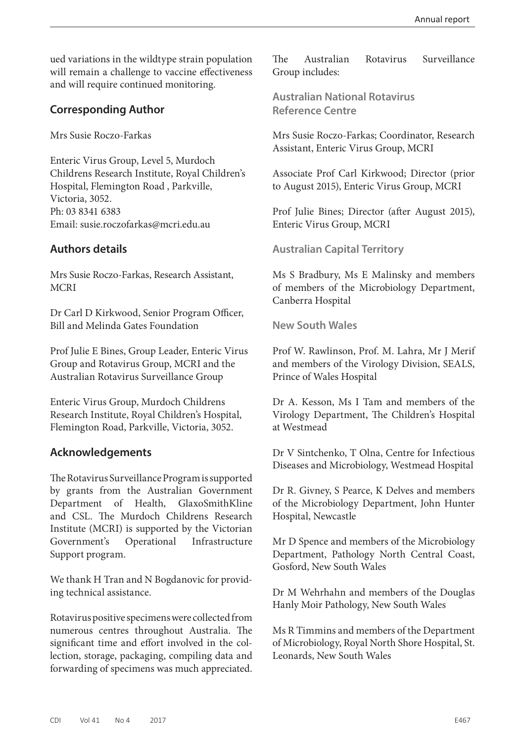ued variations in the wildtype strain population will remain a challenge to vaccine effectiveness and will require continued monitoring.

#### **Corresponding Author**

Mrs Susie Roczo-Farkas

Enteric Virus Group, Level 5, Murdoch Childrens Research Institute, Royal Children's Hospital, Flemington Road , Parkville, Victoria, 3052. Ph: 03 8341 6383 Email: susie.roczofarkas@mcri.edu.au

#### **Authors details**

Mrs Susie Roczo-Farkas, Research Assistant, **MCRI** 

Dr Carl D Kirkwood, Senior Program Officer, Bill and Melinda Gates Foundation

Prof Julie E Bines, Group Leader, Enteric Virus Group and Rotavirus Group, MCRI and the Australian Rotavirus Surveillance Group

Enteric Virus Group, Murdoch Childrens Research Institute, Royal Children's Hospital, Flemington Road, Parkville, Victoria, 3052.

### **Acknowledgements**

The Rotavirus Surveillance Program is supported by grants from the Australian Government Department of Health, GlaxoSmithKline and CSL. The Murdoch Childrens Research Institute (MCRI) is supported by the Victorian Government's Operational Infrastructure Support program.

We thank H Tran and N Bogdanovic for providing technical assistance.

Rotavirus positive specimens were collected from numerous centres throughout Australia. The significant time and effort involved in the collection, storage, packaging, compiling data and forwarding of specimens was much appreciated.

The Australian Rotavirus Surveillance Group includes:

**Australian National Rotavirus Reference Centre**

Mrs Susie Roczo-Farkas; Coordinator, Research Assistant, Enteric Virus Group, MCRI

Associate Prof Carl Kirkwood; Director (prior to August 2015), Enteric Virus Group, MCRI

Prof Julie Bines; Director (after August 2015), Enteric Virus Group, MCRI

**Australian Capital Territory**

Ms S Bradbury, Ms E Malinsky and members of members of the Microbiology Department, Canberra Hospital

#### **New South Wales**

Prof W. Rawlinson, Prof. M. Lahra, Mr J Merif and members of the Virology Division, SEALS, Prince of Wales Hospital

Dr A. Kesson, Ms I Tam and members of the Virology Department, The Children's Hospital at Westmead

Dr V Sintchenko, T Olna, Centre for Infectious Diseases and Microbiology, Westmead Hospital

Dr R. Givney, S Pearce, K Delves and members of the Microbiology Department, John Hunter Hospital, Newcastle

Mr D Spence and members of the Microbiology Department, Pathology North Central Coast, Gosford, New South Wales

Dr M Wehrhahn and members of the Douglas Hanly Moir Pathology, New South Wales

Ms R Timmins and members of the Department of Microbiology, Royal North Shore Hospital, St. Leonards, New South Wales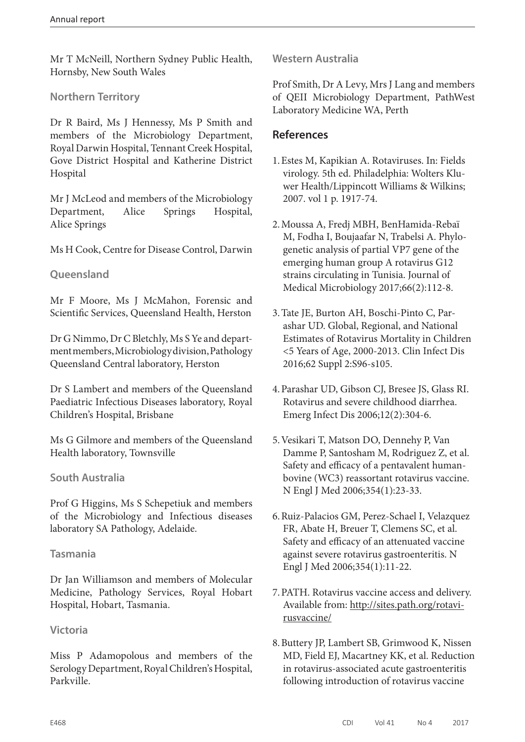Mr T McNeill, Northern Sydney Public Health, Hornsby, New South Wales

#### **Northern Territory**

Dr R Baird, Ms J Hennessy, Ms P Smith and members of the Microbiology Department, Royal Darwin Hospital, Tennant Creek Hospital, Gove District Hospital and Katherine District Hospital

Mr J McLeod and members of the Microbiology Department, Alice Springs Hospital, Alice Springs

Ms H Cook, Centre for Disease Control, Darwin

#### **Queensland**

Mr F Moore, Ms J McMahon, Forensic and Scientific Services, Queensland Health, Herston

Dr G Nimmo, Dr C Bletchly, Ms S Ye and department members, Microbiology division, Pathology Queensland Central laboratory, Herston

Dr S Lambert and members of the Queensland Paediatric Infectious Diseases laboratory, Royal Children's Hospital, Brisbane

Ms G Gilmore and members of the Queensland Health laboratory, Townsville

#### **South Australia**

Prof G Higgins, Ms S Schepetiuk and members of the Microbiology and Infectious diseases laboratory SA Pathology, Adelaide.

#### **Tasmania**

Dr Jan Williamson and members of Molecular Medicine, Pathology Services, Royal Hobart Hospital, Hobart, Tasmania.

#### **Victoria**

Miss P Adamopolous and members of the Serology Department, Royal Children's Hospital, Parkville.

**Western Australia**

Prof Smith, Dr A Levy, Mrs J Lang and members of QEII Microbiology Department, PathWest Laboratory Medicine WA, Perth

#### **References**

- 1.Estes M, Kapikian A. Rotaviruses. In: Fields virology. 5th ed. Philadelphia: Wolters Kluwer Health/Lippincott Williams & Wilkins; 2007. vol 1 p. 1917-74.
- 2.Moussa A, Fredj MBH, BenHamida-Rebaï M, Fodha I, Boujaafar N, Trabelsi A. Phylogenetic analysis of partial VP7 gene of the emerging human group A rotavirus G12 strains circulating in Tunisia. Journal of Medical Microbiology 2017;66(2):112-8.
- 3.Tate JE, Burton AH, Boschi-Pinto C, Parashar UD. Global, Regional, and National Estimates of Rotavirus Mortality in Children <5 Years of Age, 2000-2013. Clin Infect Dis 2016;62 Suppl 2:S96-s105.
- 4.Parashar UD, Gibson CJ, Bresee JS, Glass RI. Rotavirus and severe childhood diarrhea. Emerg Infect Dis 2006;12(2):304-6.
- 5.Vesikari T, Matson DO, Dennehy P, Van Damme P, Santosham M, Rodriguez Z, et al. Safety and efficacy of a pentavalent humanbovine (WC3) reassortant rotavirus vaccine. N Engl J Med 2006;354(1):23-33.
- 6.Ruiz-Palacios GM, Perez-Schael I, Velazquez FR, Abate H, Breuer T, Clemens SC, et al. Safety and efficacy of an attenuated vaccine against severe rotavirus gastroenteritis. N Engl J Med 2006;354(1):11-22.
- 7.PATH. Rotavirus vaccine access and delivery. Available from: [http://sites.path.org/rotavi](http://sites.path.org/rotavirusvaccine/ )[rusvaccine/](http://sites.path.org/rotavirusvaccine/ )
- 8.Buttery JP, Lambert SB, Grimwood K, Nissen MD, Field EJ, Macartney KK, et al. Reduction in rotavirus-associated acute gastroenteritis following introduction of rotavirus vaccine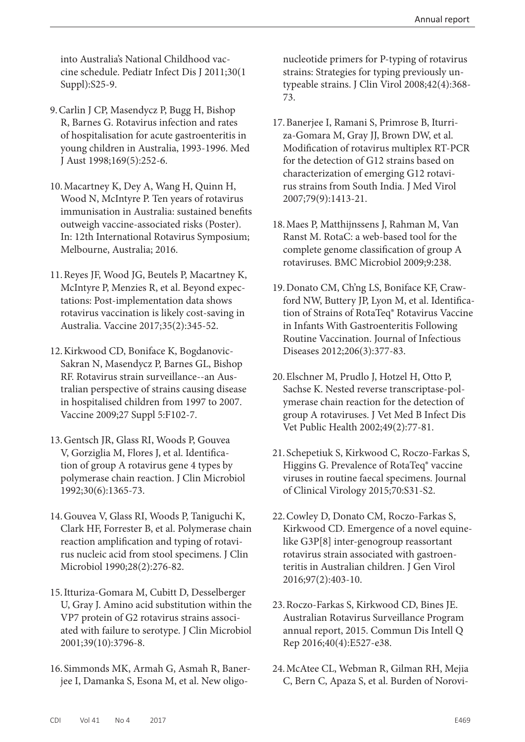into Australia's National Childhood vaccine schedule. Pediatr Infect Dis J 2011;30(1 Suppl):S25-9.

- 9.Carlin J CP, Masendycz P, Bugg H, Bishop R, Barnes G. Rotavirus infection and rates of hospitalisation for acute gastroenteritis in young children in Australia, 1993-1996. Med J Aust 1998;169(5):252-6.
- 10.Macartney K, Dey A, Wang H, Quinn H, Wood N, McIntyre P. Ten years of rotavirus immunisation in Australia: sustained benefits outweigh vaccine-associated risks (Poster). In: 12th International Rotavirus Symposium; Melbourne, Australia; 2016.
- 11.Reyes JF, Wood JG, Beutels P, Macartney K, McIntyre P, Menzies R, et al. Beyond expectations: Post-implementation data shows rotavirus vaccination is likely cost-saving in Australia. Vaccine 2017;35(2):345-52.
- 12.Kirkwood CD, Boniface K, Bogdanovic-Sakran N, Masendycz P, Barnes GL, Bishop RF. Rotavirus strain surveillance--an Australian perspective of strains causing disease in hospitalised children from 1997 to 2007. Vaccine 2009;27 Suppl 5:F102-7.
- 13.Gentsch JR, Glass RI, Woods P, Gouvea V, Gorziglia M, Flores J, et al. Identification of group A rotavirus gene 4 types by polymerase chain reaction. J Clin Microbiol 1992;30(6):1365-73.
- 14.Gouvea V, Glass RI, Woods P, Taniguchi K, Clark HF, Forrester B, et al. Polymerase chain reaction amplification and typing of rotavirus nucleic acid from stool specimens. J Clin Microbiol 1990;28(2):276-82.
- 15.Itturiza-Gomara M, Cubitt D, Desselberger U, Gray J. Amino acid substitution within the VP7 protein of G2 rotavirus strains associated with failure to serotype. J Clin Microbiol 2001;39(10):3796-8.
- 16. Simmonds MK, Armah G, Asmah R, Banerjee I, Damanka S, Esona M, et al. New oligo-

nucleotide primers for P-typing of rotavirus strains: Strategies for typing previously untypeable strains. J Clin Virol 2008;42(4):368- 73.

- 17.Banerjee I, Ramani S, Primrose B, Iturriza-Gomara M, Gray JJ, Brown DW, et al. Modification of rotavirus multiplex RT-PCR for the detection of G12 strains based on characterization of emerging G12 rotavirus strains from South India. J Med Virol 2007;79(9):1413-21.
- 18.Maes P, Matthijnssens J, Rahman M, Van Ranst M. RotaC: a web-based tool for the complete genome classification of group A rotaviruses. BMC Microbiol 2009;9:238.
- 19.Donato CM, Ch'ng LS, Boniface KF, Crawford NW, Buttery JP, Lyon M, et al. Identification of Strains of RotaTeq® Rotavirus Vaccine in Infants With Gastroenteritis Following Routine Vaccination. Journal of Infectious Diseases 2012;206(3):377-83.
- 20.Elschner M, Prudlo J, Hotzel H, Otto P, Sachse K. Nested reverse transcriptase-polymerase chain reaction for the detection of group A rotaviruses. J Vet Med B Infect Dis Vet Public Health 2002;49(2):77-81.
- 21. Schepetiuk S, Kirkwood C, Roczo-Farkas S, Higgins G. Prevalence of RotaTeq® vaccine viruses in routine faecal specimens. Journal of Clinical Virology 2015;70:S31-S2.
- 22.Cowley D, Donato CM, Roczo-Farkas S, Kirkwood CD. Emergence of a novel equinelike G3P[8] inter-genogroup reassortant rotavirus strain associated with gastroenteritis in Australian children. J Gen Virol 2016;97(2):403-10.
- 23.Roczo-Farkas S, Kirkwood CD, Bines JE. Australian Rotavirus Surveillance Program annual report, 2015. Commun Dis Intell Q Rep 2016;40(4):E527-e38.
- 24.McAtee CL, Webman R, Gilman RH, Mejia C, Bern C, Apaza S, et al. Burden of Norovi-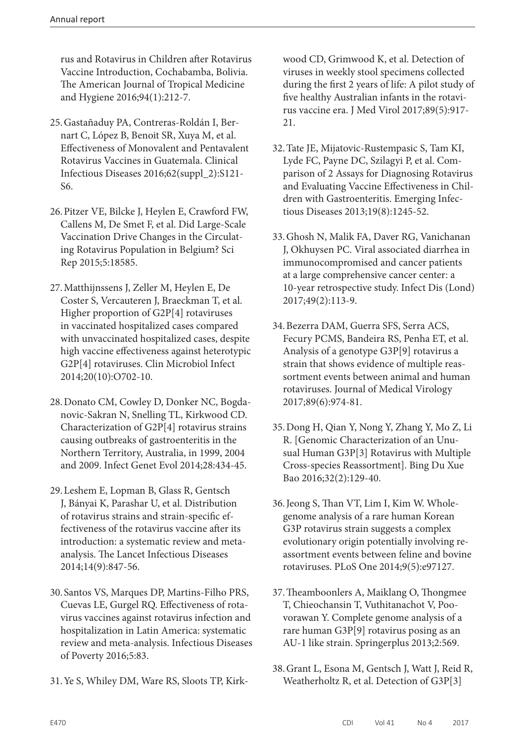rus and Rotavirus in Children after Rotavirus Vaccine Introduction, Cochabamba, Bolivia. The American Journal of Tropical Medicine and Hygiene 2016;94(1):212-7.

- 25.Gastañaduy PA, Contreras-Roldán I, Bernart C, López B, Benoit SR, Xuya M, et al. Effectiveness of Monovalent and Pentavalent Rotavirus Vaccines in Guatemala. Clinical Infectious Diseases 2016;62(suppl\_2):S121- S6.
- 26.Pitzer VE, Bilcke J, Heylen E, Crawford FW, Callens M, De Smet F, et al. Did Large-Scale Vaccination Drive Changes in the Circulating Rotavirus Population in Belgium? Sci Rep 2015;5:18585.
- 27.Matthijnssens J, Zeller M, Heylen E, De Coster S, Vercauteren J, Braeckman T, et al. Higher proportion of G2P[4] rotaviruses in vaccinated hospitalized cases compared with unvaccinated hospitalized cases, despite high vaccine effectiveness against heterotypic G2P[4] rotaviruses. Clin Microbiol Infect 2014;20(10):O702-10.
- 28.Donato CM, Cowley D, Donker NC, Bogdanovic-Sakran N, Snelling TL, Kirkwood CD. Characterization of G2P[4] rotavirus strains causing outbreaks of gastroenteritis in the Northern Territory, Australia, in 1999, 2004 and 2009. Infect Genet Evol 2014;28:434-45.
- 29.Leshem E, Lopman B, Glass R, Gentsch J, Bányai K, Parashar U, et al. Distribution of rotavirus strains and strain-specific effectiveness of the rotavirus vaccine after its introduction: a systematic review and metaanalysis. The Lancet Infectious Diseases 2014;14(9):847-56.
- 30. Santos VS, Marques DP, Martins-Filho PRS, Cuevas LE, Gurgel RQ. Effectiveness of rotavirus vaccines against rotavirus infection and hospitalization in Latin America: systematic review and meta-analysis. Infectious Diseases of Poverty 2016;5:83.
- 31.Ye S, Whiley DM, Ware RS, Sloots TP, Kirk-

wood CD, Grimwood K, et al. Detection of viruses in weekly stool specimens collected during the first 2 years of life: A pilot study of five healthy Australian infants in the rotavirus vaccine era. J Med Virol 2017;89(5):917- 21.

- 32.Tate JE, Mijatovic-Rustempasic S, Tam KI, Lyde FC, Payne DC, Szilagyi P, et al. Comparison of 2 Assays for Diagnosing Rotavirus and Evaluating Vaccine Effectiveness in Children with Gastroenteritis. Emerging Infectious Diseases 2013;19(8):1245-52.
- 33.Ghosh N, Malik FA, Daver RG, Vanichanan J, Okhuysen PC. Viral associated diarrhea in immunocompromised and cancer patients at a large comprehensive cancer center: a 10-year retrospective study. Infect Dis (Lond) 2017;49(2):113-9.
- 34.Bezerra DAM, Guerra SFS, Serra ACS, Fecury PCMS, Bandeira RS, Penha ET, et al. Analysis of a genotype G3P[9] rotavirus a strain that shows evidence of multiple reassortment events between animal and human rotaviruses. Journal of Medical Virology 2017;89(6):974-81.
- 35.Dong H, Qian Y, Nong Y, Zhang Y, Mo Z, Li R. [Genomic Characterization of an Unusual Human G3P[3] Rotavirus with Multiple Cross-species Reassortment]. Bing Du Xue Bao 2016;32(2):129-40.
- 36.Jeong S, Than VT, Lim I, Kim W. Wholegenome analysis of a rare human Korean G3P rotavirus strain suggests a complex evolutionary origin potentially involving reassortment events between feline and bovine rotaviruses. PLoS One 2014;9(5):e97127.
- 37.Theamboonlers A, Maiklang O, Thongmee T, Chieochansin T, Vuthitanachot V, Poovorawan Y. Complete genome analysis of a rare human G3P[9] rotavirus posing as an AU-1 like strain. Springerplus 2013;2:569.
- 38.Grant L, Esona M, Gentsch J, Watt J, Reid R, Weatherholtz R, et al. Detection of G3P[3]